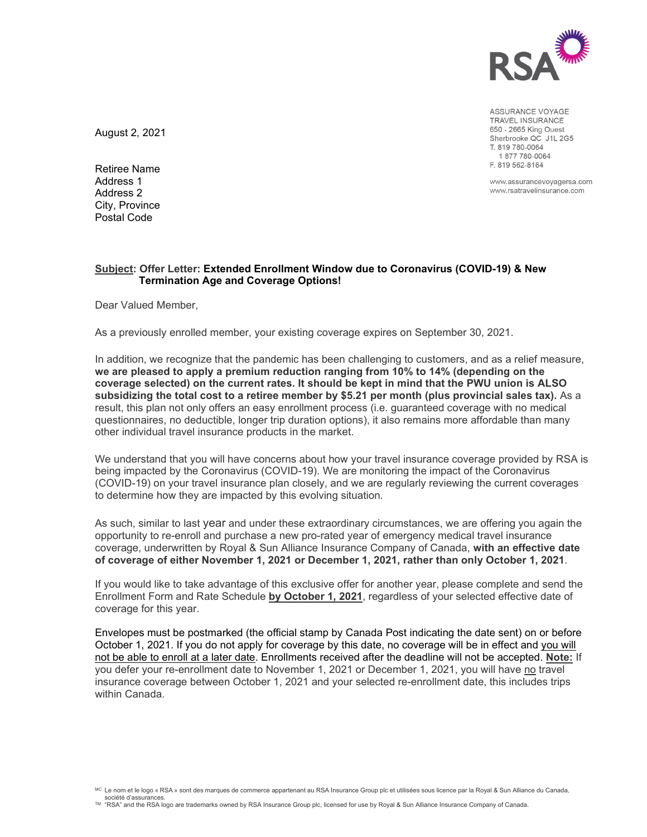

ASSURANCE VOYAGE TRAVEL INSURANCE 650 - 2665 King Ouest Sherbrooke QC J1L 2G5 T. 819 780-0064 1877780-0064 F. 819 562-8164

www.assurancevoyagersa.com www.rsatravelinsurance.com

August 2, 2021

Retiree Name Address 1 Address 2 City, Province Postal Code

## **Subject: Offer Letter: Extended Enrollment Window due to Coronavirus (COVID-19) & New Termination Age and Coverage Options!**

Dear Valued Member,

As a previously enrolled member, your existing coverage expires on September 30, 2021.

In addition, we recognize that the pandemic has been challenging to customers, and as a relief measure, **we are pleased to apply a premium reduction ranging from 10% to 14% (depending on the coverage selected) on the current rates. It should be kept in mind that the PWU union is ALSO subsidizing the total cost to a retiree member by \$5.21 per month (plus provincial sales tax).** As a result, this plan not only offers an easy enrollment process (i.e. guaranteed coverage with no medical questionnaires, no deductible, longer trip duration options), it also remains more affordable than many other individual travel insurance products in the market.

We understand that you will have concerns about how your travel insurance coverage provided by RSA is being impacted by the Coronavirus (COVID-19). We are monitoring the impact of the Coronavirus (COVID-19) on your travel insurance plan closely, and we are regularly reviewing the current coverages to determine how they are impacted by this evolving situation.

As such, similar to last year and under these extraordinary circumstances, we are offering you again the opportunity to re-enroll and purchase a new pro-rated year of emergency medical travel insurance coverage, underwritten by Royal & Sun Alliance Insurance Company of Canada, **with an effective date of coverage of either November 1, 2021 or December 1, 2021, rather than only October 1, 2021**.

If you would like to take advantage of this exclusive offer for another year, please complete and send the Enrollment Form and Rate Schedule **by October 1, 2021**, regardless of your selected effective date of coverage for this year.

Envelopes must be postmarked (the official stamp by Canada Post indicating the date sent) on or before October 1, 2021. If you do not apply for coverage by this date, no coverage will be in effect and you will not be able to enroll at a later date. Enrollments received after the deadline will not be accepted. **Note:** If you defer your re-enrollment date to November 1, 2021 or December 1, 2021, you will have no travel insurance coverage between October 1, 2021 and your selected re-enrollment date, this includes trips within Canada.

<sup>&</sup>lt;sup>MC</sup> Le nom et le logo « RSA » sont des marques de commerce appartenant au RSA Insurance Group plc et utilisées sous licence par la Royal & Sun Alliance du Canada. société d'assurances.<br>™ "RSA" and the RSA logo are trademarks owned by RSA Insurance Group plc, licensed for use by Royal & Sun Alliance Insurance Company of Canada.